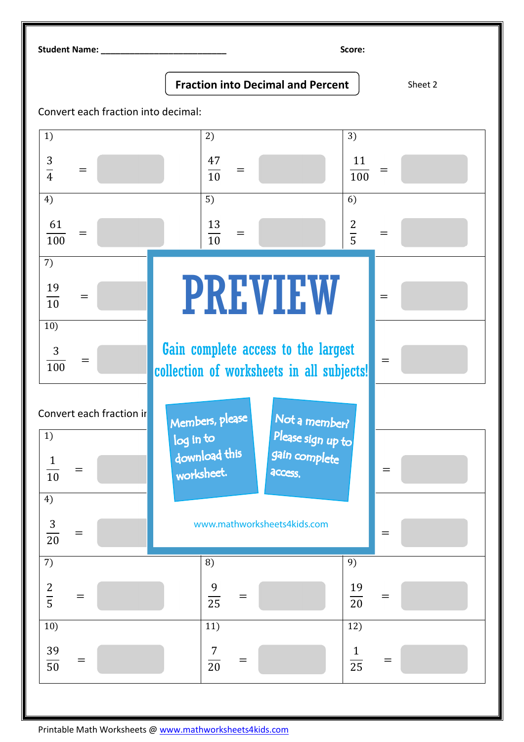Student Name: \_\_\_\_\_\_\_\_\_\_\_\_\_\_\_\_\_\_\_\_\_\_\_\_\_\_ Score:

## **Fraction into Decimal and Percent** Sheet 2

Convert each fraction into decimal: